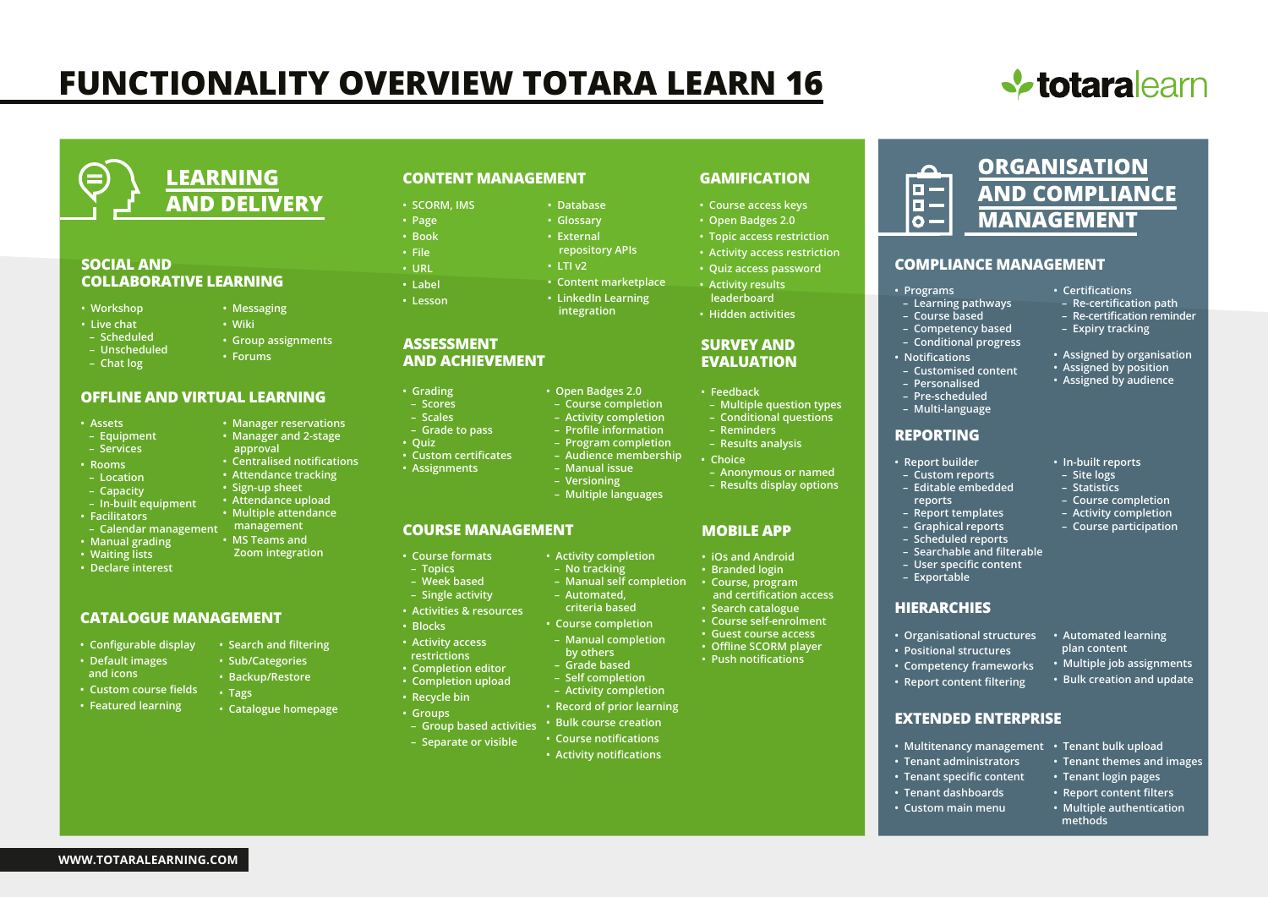# **FUNCTIONALITY OVERVIEW TOTARA LEARN 16**

**• SCORM, IMS • Page • Book • File • URL • Label • Lesson**





### **SOCIAL AND COLLABORATIVE LEARNING**

- **Workshop**
- **Live chat**
- **Scheduled**
- **Unscheduled**
- **Chat log**
- **Group assignments • Forums**

**• Messaging • Wiki**

**• Manager reservations • Manager and 2-stage approval**

**• Attendance tracking • Sign-up sheet • Attendance upload • Multiple attendance**

**• MS Teams and Zoom integration**

**• Search and filtering • Sub/Categories • Backup/Restore**

**• Catalogue homepage**

**• Tags**

### **OFFLINE AND VIRTUAL LEARNING**

- **Assets**
- **Equipment**
- **Services**
- **Rooms**
- **Location**
- **Capacity**
- **In-built equipment**
- **Facilitators**
- **Calendar management management**
- **Manual grading**
- **Waiting lists**
- **Declare interest**

### **CATALOGUE MANAGEMENT**

- **Configurable display**
- **Default images and icons**
- **Custom course fields**
- 
- **Featured learning**

**WWW.TOTARALEARNING.COM**

### **CONTENT MANAGEMENT**

- **Database**
	- **Glossary**
	- **External** 
		- **repository APIs**
	- **LTI v2**
	- **Content marketplace**
	- **LinkedIn Learning integration**

**• Open Badges 2.0 – Course completion – Activity completion – Profile information – Program completion – Audience membership – Manual issue – Versioning**

**• Activity completion – No tracking**

 **– Automated, criteria based • Course completion – Manual completion by others – Grade based – Self completion – Activity completion • Record of prior learning • Bulk course creation**

 **– Manual self completion**

### **ASSESSMENT AND ACHIEVEMENT**

- **Grading**
- **Scores – Scales**
- **Grade to pass**
- **Quiz • Custom certificates**
- **Centralised notifications • Assignments**
	-
- **Multiple languages**

### **COURSE MANAGEMENT**

- **Course formats – Topics**
- **Week based – Single activity**
- **Activities & resources**
- **Blocks**
- **Activity access restrictions**
- **Completion editor • Completion upload**
- **Recycle bin**
- **Groups – Group based activities**
- **Separate or visible**
	- **Course notifications • Activity notifications**

### **GAMIFICATION**

- **Course access keys**
- **Open Badges 2.0**
- **Topic access restriction**
- **Activity access restriction • Quiz access password**
- **Activity results leaderboard**
- **Hidden activities**

### **SURVEY AND EVALUATION**

- **Feedback**
- **Multiple question types – Conditional questions**
- **Reminders**
- **Results analysis**
- **Choice**
- **Anonymous or named – Results display options**
- 

### **MOBILE APP**

- **iOs and Android**
- **Branded login**
- **Course, program and certification access • Search catalogue**
- **Course self-enrolment**
- **Guest course access**
- **Offline SCORM player**
- **Push notifications**

**ORGANISATION**  $\Box$ **AND COMPLIANCE** 64 **MANAGEMENT**  $\overline{\mathbf{o}}$  –

### **COMPLIANCE MANAGEMENT**

### **• Programs**

- **Learning pathways**
- **Course based**
- **Competency based**
- **Conditional progress**
- **Notifications**
- **Customised content – Personalised**
- **Pre-scheduled**
- **Multi-language**

- **REPORTING**
	- **Report builder**
	- **Custom reports**
		- **Editable embedded**
		- **reports**
		- **Report templates**
		- **Graphical reports**
		- **Scheduled reports**

**• Organisational structures • Automated learning** 

**• Multitenancy management • Tenant bulk upload**

 **plan content**

**• In-built reports – Site logs – Statistics – Course completion – Activity completion – Course participation**

**• Certifications**

 **– Re-certification path – Re-certification reminder – Expiry tracking**

**• Assigned by organisation • Assigned by position • Assigned by audience**

 **methods**

**• Multiple job assignments • Bulk creation and update**

**• Tenant themes and images • Tenant login pages • Report content filters • Multiple authentication** 

 **– Searchable and filterable – User specific content**

**• Positional structures • Competency frameworks • Report content filtering**

**• Tenant administrators • Tenant specific content • Tenant dashboards • Custom main menu**

**EXTENDED ENTERPRISE**

**HIERARCHIES**

 **– Exportable**